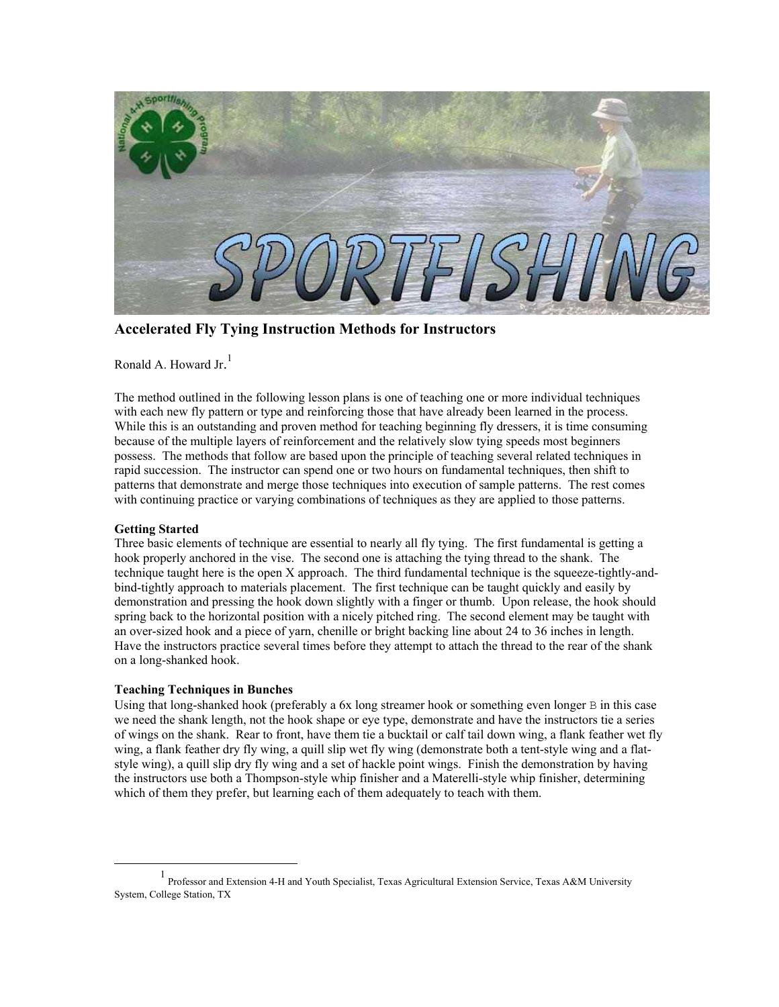

**Accelerated Fly Tying Instruction Methods for Instructors**

Ronald A. Howard Jr.<sup>[1](#page-0-0)</sup>

The method outlined in the following lesson plans is one of teaching one or more individual techniques with each new fly pattern or type and reinforcing those that have already been learned in the process. While this is an outstanding and proven method for teaching beginning fly dressers, it is time consuming because of the multiple layers of reinforcement and the relatively slow tying speeds most beginners possess. The methods that follow are based upon the principle of teaching several related techniques in rapid succession. The instructor can spend one or two hours on fundamental techniques, then shift to patterns that demonstrate and merge those techniques into execution of sample patterns. The rest comes with continuing practice or varying combinations of techniques as they are applied to those patterns.

## **Getting Started**

Three basic elements of technique are essential to nearly all fly tying. The first fundamental is getting a hook properly anchored in the vise. The second one is attaching the tying thread to the shank. The technique taught here is the open X approach. The third fundamental technique is the squeeze-tightly-andbind-tightly approach to materials placement. The first technique can be taught quickly and easily by demonstration and pressing the hook down slightly with a finger or thumb. Upon release, the hook should spring back to the horizontal position with a nicely pitched ring. The second element may be taught with an over-sized hook and a piece of yarn, chenille or bright backing line about 24 to 36 inches in length. Have the instructors practice several times before they attempt to attach the thread to the rear of the shank on a long-shanked hook.

## **Teaching Techniques in Bunches**

Using that long-shanked hook (preferably a  $6x$  long streamer hook or something even longer  $\overline{B}$  in this case we need the shank length, not the hook shape or eye type, demonstrate and have the instructors tie a series of wings on the shank. Rear to front, have them tie a bucktail or calf tail down wing, a flank feather wet fly wing, a flank feather dry fly wing, a quill slip wet fly wing (demonstrate both a tent-style wing and a flatstyle wing), a quill slip dry fly wing and a set of hackle point wings. Finish the demonstration by having the instructors use both a Thompson-style whip finisher and a Materelli-style whip finisher, determining which of them they prefer, but learning each of them adequately to teach with them.

<span id="page-0-0"></span><sup>&</sup>lt;u>1</u> Professor and Extension 4-H and Youth Specialist, Texas Agricultural Extension Service, Texas A&M University System, College Station, TX